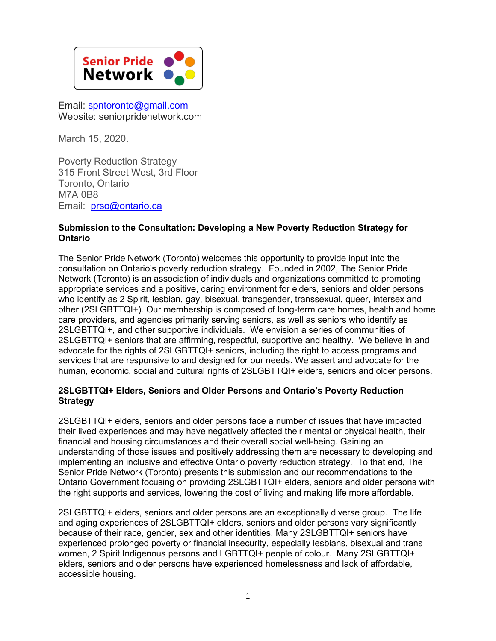

Email: [spntoronto@gmail.com](mailto:spntoronto@gmail.com) Website: seniorpridenetwork.com

March 15, 2020.

Poverty Reduction Strategy 315 Front Street West, 3rd Floor Toronto, Ontario M7A 0B8 Email: [prso@ontario.ca](mailto:prso@ontario.ca)

## **Submission to the Consultation: Developing a New Poverty Reduction Strategy for Ontario**

The Senior Pride Network (Toronto) welcomes this opportunity to provide input into the consultation on Ontario's poverty reduction strategy. Founded in 2002, The Senior Pride Network (Toronto) is an association of individuals and organizations committed to promoting appropriate services and a positive, caring environment for elders, seniors and older persons who identify as 2 Spirit, lesbian, gay, bisexual, transgender, transsexual, queer, intersex and other (2SLGBTTQI+). Our membership is composed of long-term care homes, health and home care providers, and agencies primarily serving seniors, as well as seniors who identify as 2SLGBTTQI+, and other supportive individuals. We envision a series of communities of 2SLGBTTQI+ seniors that are affirming, respectful, supportive and healthy. We believe in and advocate for the rights of 2SLGBTTQI+ seniors, including the right to access programs and services that are responsive to and designed for our needs. We assert and advocate for the human, economic, social and cultural rights of 2SLGBTTQI+ elders, seniors and older persons.

## **2SLGBTTQI+ Elders, Seniors and Older Persons and Ontario's Poverty Reduction Strategy**

2SLGBTTQI+ elders, seniors and older persons face a number of issues that have impacted their lived experiences and may have negatively affected their mental or physical health, their financial and housing circumstances and their overall social well-being. Gaining an understanding of those issues and positively addressing them are necessary to developing and implementing an inclusive and effective Ontario poverty reduction strategy. To that end, The Senior Pride Network (Toronto) presents this submission and our recommendations to the Ontario Government focusing on providing 2SLGBTTQI+ elders, seniors and older persons with the right supports and services, lowering the cost of living and making life more affordable.

2SLGBTTQI+ elders, seniors and older persons are an exceptionally diverse group. The life and aging experiences of 2SLGBTTQI+ elders, seniors and older persons vary significantly because of their race, gender, sex and other identities. Many 2SLGBTTQI+ seniors have experienced prolonged poverty or financial insecurity, especially lesbians, bisexual and trans women, 2 Spirit Indigenous persons and LGBTTQI+ people of colour. Many 2SLGBTTQI+ elders, seniors and older persons have experienced homelessness and lack of affordable, accessible housing.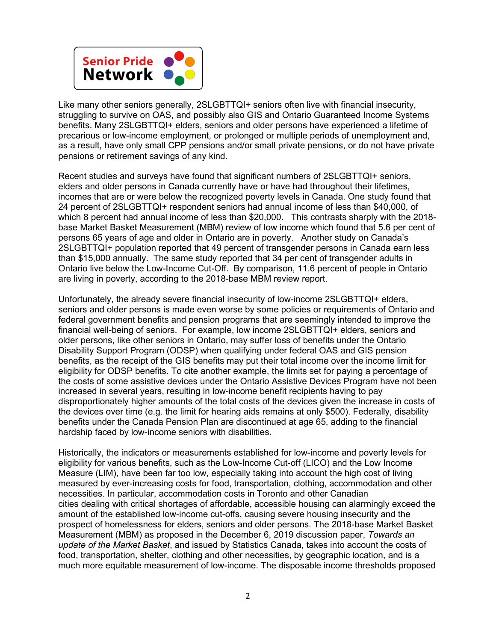

Like many other seniors generally, 2SLGBTTQI+ seniors often live with financial insecurity, struggling to survive on OAS, and possibly also GIS and Ontario Guaranteed Income Systems benefits. Many 2SLGBTTQI+ elders, seniors and older persons have experienced a lifetime of precarious or low-income employment, or prolonged or multiple periods of unemployment and, as a result, have only small CPP pensions and/or small private pensions, or do not have private pensions or retirement savings of any kind.

Recent studies and surveys have found that significant numbers of 2SLGBTTQI+ seniors, elders and older persons in Canada currently have or have had throughout their lifetimes, incomes that are or were below the recognized poverty levels in Canada. One study found that 24 percent of 2SLGBTTQI+ respondent seniors had annual income of less than \$40,000, of which 8 percent had annual income of less than \$20,000. This contrasts sharply with the 2018 base Market Basket Measurement (MBM) review of low income which found that 5.6 per cent of persons 65 years of age and older in Ontario are in poverty. Another study on Canada's 2SLGBTTQI+ population reported that 49 percent of transgender persons in Canada earn less than \$15,000 annually. The same study reported that 34 per cent of transgender adults in Ontario live below the Low-Income Cut-Off. By comparison, 11.6 percent of people in Ontario are living in poverty, according to the 2018-base MBM review report.

Unfortunately, the already severe financial insecurity of low-income 2SLGBTTQI+ elders, seniors and older persons is made even worse by some policies or requirements of Ontario and federal government benefits and pension programs that are seemingly intended to improve the financial well-being of seniors. For example, low income 2SLGBTTQI+ elders, seniors and older persons, like other seniors in Ontario, may suffer loss of benefits under the Ontario Disability Support Program (ODSP) when qualifying under federal OAS and GIS pension benefits, as the receipt of the GIS benefits may put their total income over the income limit for eligibility for ODSP benefits. To cite another example, the limits set for paying a percentage of the costs of some assistive devices under the Ontario Assistive Devices Program have not been increased in several years, resulting in low-income benefit recipients having to pay disproportionately higher amounts of the total costs of the devices given the increase in costs of the devices over time (e.g. the limit for hearing aids remains at only \$500). Federally, disability benefits under the Canada Pension Plan are discontinued at age 65, adding to the financial hardship faced by low-income seniors with disabilities.

Historically, the indicators or measurements established for low-income and poverty levels for eligibility for various benefits, such as the Low-Income Cut-off (LICO) and the Low Income Measure (LIM), have been far too low, especially taking into account the high cost of living measured by ever-increasing costs for food, transportation, clothing, accommodation and other necessities. In particular, accommodation costs in Toronto and other Canadian cities dealing with critical shortages of affordable, accessible housing can alarmingly exceed the amount of the established low-income cut-offs, causing severe housing insecurity and the prospect of homelessness for elders, seniors and older persons. The 2018-base Market Basket Measurement (MBM) as proposed in the December 6, 2019 discussion paper, *Towards an update of the Market Basket*, and issued by Statistics Canada, takes into account the costs of food, transportation, shelter, clothing and other necessities, by geographic location, and is a much more equitable measurement of low-income. The disposable income thresholds proposed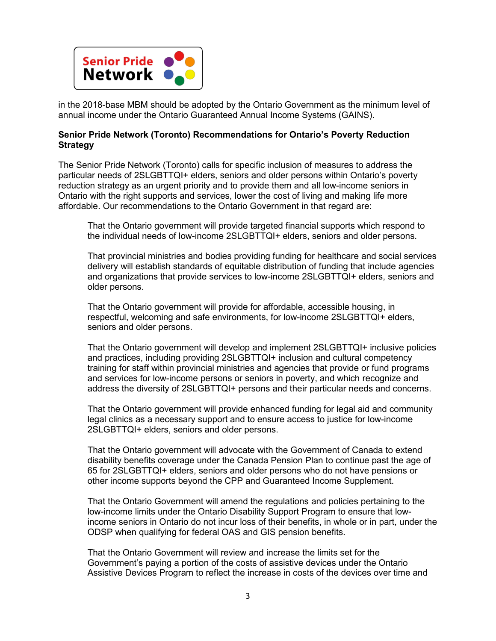

in the 2018-base MBM should be adopted by the Ontario Government as the minimum level of annual income under the Ontario Guaranteed Annual Income Systems (GAINS).

## **Senior Pride Network (Toronto) Recommendations for Ontario's Poverty Reduction Strategy**

The Senior Pride Network (Toronto) calls for specific inclusion of measures to address the particular needs of 2SLGBTTQI+ elders, seniors and older persons within Ontario's poverty reduction strategy as an urgent priority and to provide them and all low-income seniors in Ontario with the right supports and services, lower the cost of living and making life more affordable. Our recommendations to the Ontario Government in that regard are:

That the Ontario government will provide targeted financial supports which respond to the individual needs of low-income 2SLGBTTQI+ elders, seniors and older persons.

That provincial ministries and bodies providing funding for healthcare and social services delivery will establish standards of equitable distribution of funding that include agencies and organizations that provide services to low-income 2SLGBTTQI+ elders, seniors and older persons.

That the Ontario government will provide for affordable, accessible housing, in respectful, welcoming and safe environments, for low-income 2SLGBTTQI+ elders, seniors and older persons.

That the Ontario government will develop and implement 2SLGBTTQI+ inclusive policies and practices, including providing 2SLGBTTQI+ inclusion and cultural competency training for staff within provincial ministries and agencies that provide or fund programs and services for low-income persons or seniors in poverty, and which recognize and address the diversity of 2SLGBTTQI+ persons and their particular needs and concerns.

That the Ontario government will provide enhanced funding for legal aid and community legal clinics as a necessary support and to ensure access to justice for low-income 2SLGBTTQI+ elders, seniors and older persons.

That the Ontario government will advocate with the Government of Canada to extend disability benefits coverage under the Canada Pension Plan to continue past the age of 65 for 2SLGBTTQI+ elders, seniors and older persons who do not have pensions or other income supports beyond the CPP and Guaranteed Income Supplement.

That the Ontario Government will amend the regulations and policies pertaining to the low-income limits under the Ontario Disability Support Program to ensure that lowincome seniors in Ontario do not incur loss of their benefits, in whole or in part, under the ODSP when qualifying for federal OAS and GIS pension benefits.

That the Ontario Government will review and increase the limits set for the Government's paying a portion of the costs of assistive devices under the Ontario Assistive Devices Program to reflect the increase in costs of the devices over time and